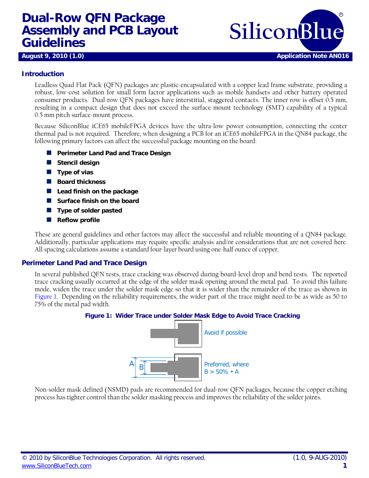# **Dual-Row QFN Package Assembly and PCB Layout Assembly and PCB Layout** SiliconBlue





# **Introduction**

Leadless Quad Flat Pack (QFN) packages are plastic-encapsulated with a copper lead frame substrate, providing a robust, low-cost solution for small form factor applications such as mobile handsets and other battery operated consumer products. Dual-row QFN packages have interstitial, staggered contacts. The inner row is offset 0.5 mm, resulting in a compact design that does not exceed the surface mount technology (SMT) capability of a typical 0.5 mm pitch surface-mount process.

Because SiliconBlue iCE65 mobileFPGA devices have the ultra-low power consumption, connecting the center thermal pad is not required. Therefore, when designing a PCB for an iCE65 mobileFPGA in the QN84 package, the following primary factors can affect the successful package mounting on the board:

- **Perimeter Land Pad and Trace Design**
- **Stencil design**
- **Type of vias**
- **Board thickness**
- **Lead finish on the package**
- **No. Surface finish on the board**
- **Type of solder pasted**
- **Reflow profile**

These are general guidelines and other factors may affect the successful and reliable mounting of a QN84 package. Additionally, particular applications may require specific analysis and/or considerations that are not covered here. All spacing calculations assume a standard four-layer board using one-half ounce of copper.

#### **Perimeter Land Pad and Trace Design**

<span id="page-0-0"></span>In several published QFN tests, trace cracking was observed during board-level drop and bend tests. The reported trace cracking usually occurred at the edge of the solder mask opening around the metal pad. To avoid this failure mode, widen the trace under the solder mask edge so that it is wider than the remainder of the trace as shown in [Figure 1.](#page-0-0) Depending on the reliability requirements, the wider part of the trace might need to be as wide as 50 to 75% of the metal pad width.





Non-solder mask defined (NSMD) pads are recommended for dual-row QFN packages, because the copper etching process has tighter control than the solder masking process and improves the reliability of the solder joints.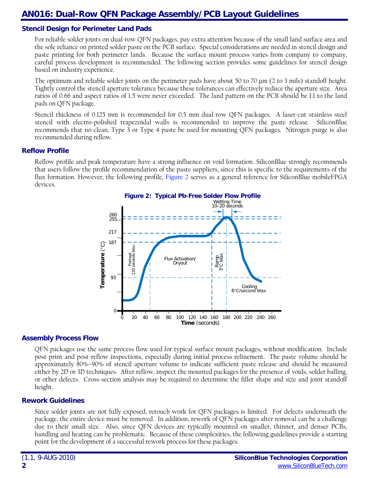# **AN016: Dual-Row QFN Package Assembly/PCB Layout Guidelines**

## **Stencil Design for Perimeter Land Pads**

For reliable solder joints on dual-row QFN packages, pay extra attention because of the small land surface area and the sole reliance on printed solder paste on the PCB surface. Special considerations are needed in stencil design and paste printing for both perimeter lands. Because the surface mount process varies from company to company, careful process development is recommended. The following section provides some guidelines for stencil design based on industry experience.

The optimum and reliable solder joints on the perimeter pads have about 50 to 70 µm (2 to 3 mils) standoff height. Tightly control the stencil aperture tolerance because these tolerances can effectively reduce the aperture size. Area ratios of 0.66 and aspect ratios of 1.5 were never exceeded. The land pattern on the PCB should be 1:1 to the land pads on QFN package.

Stencil thickness of 0.125 mm is recommended for 0.5 mm dual-row QFN packages. A laser-cut stainless steel stencil with electro-polished trapezoidal walls is recommended to improve the paste release. SiliconBlue recommends that no-clean, Type 3 or Type 4 paste be used for mounting QFN packages. Nitrogen purge is also recommended during reflow.

#### **Reflow Profile**

<span id="page-1-0"></span>Reflow profile and peak temperature have a strong influence on void formation. SiliconBlue strongly recommends that users follow the profile recommendation of the paste suppliers, since this is specific to the requirements of the flux formation. However, the following profile, [Figure 2](#page-1-0) serves as a general reference for SiliconBlue mobileFPGA devices.



#### **Assembly Process Flow**

QFN packages use the same process flow used for typical surface mount packages, without modification. Include post-print and post-reflow inspections, especially during initial process refinement. The paste volume should be approximately 80%–90% of stencil aperture volume to indicate sufficient paste release and should be measured either by 2D or 3D techniques. After reflow, inspect the mounted packages for the presence of voids, solder balling, or other defects. Cross-section analysis may be required to determine the fillet shape and size and joint standoff height.

#### **Rework Guidelines**

Since solder joints are not fully exposed, retouch work for QFN packages is limited. For defects underneath the package, the entire device must be removed. In addition, rework of QFN packages after removal can be a challenge due to their small size. Also, since QFN devices are typically mounted on smaller, thinner, and denser PCBs, handling and heating can be problematic. Because of these complexities, the following guidelines provide a starting point for the development of a successful rework process for these packages.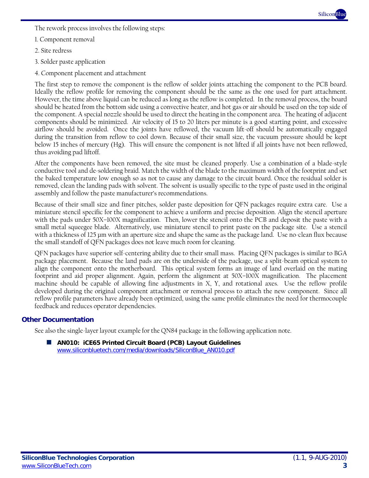

The rework process involves the following steps:

- 1. Component removal
- 2. Site redress
- 3. Solder paste application
- 4. Component placement and attachment

The first step to remove the component is the reflow of solder joints attaching the component to the PCB board. Ideally the reflow profile for removing the component should be the same as the one used for part attachment. However, the time above liquid can be reduced as long as the reflow is completed. In the removal process, the board should be heated from the bottom side using a convective heater, and hot gas or air should be used on the top side of the component. A special nozzle should be used to direct the heating in the component area. The heating of adjacent components should be minimized. Air velocity of 15 to 20 liters per minute is a good starting point, and excessive airflow should be avoided. Once the joints have reflowed, the vacuum lift-off should be automatically engaged during the transition from reflow to cool down. Because of their small size, the vacuum pressure should be kept below 15 inches of mercury (Hg). This will ensure the component is not lifted if all joints have not been reflowed, thus avoiding pad liftoff.

After the components have been removed, the site must be cleaned properly. Use a combination of a blade-style conductive tool and de-soldering braid. Match the width of the blade to the maximum width of the footprint and set the baked temperature low enough so as not to cause any damage to the circuit board. Once the residual solder is removed, clean the landing pads with solvent. The solvent is usually specific to the type of paste used in the original assembly and follow the paste manufacturer's recommendations.

Because of their small size and finer pitches, solder paste deposition for QFN packages require extra care. Use a miniature stencil specific for the component to achieve a uniform and precise deposition. Align the stencil aperture with the pads under 50X–100X magnification. Then, lower the stencil onto the PCB and deposit the paste with a small metal squeegee blade. Alternatively, use miniature stencil to print paste on the package site. Use a stencil with a thickness of 125 µm with an aperture size and shape the same as the package land. Use no-clean flux because the small standoff of QFN packages does not leave much room for cleaning.

QFN packages have superior self-centering ability due to their small mass. Placing QFN packages is similar to BGA package placement. Because the land pads are on the underside of the package, use a split-beam optical system to align the component onto the motherboard. This optical system forms an image of land overlaid on the mating footprint and aid proper alignment. Again, perform the alignment at 50X–100X magnification. The placement machine should be capable of allowing fine adjustments in X, Y, and rotational axes. Use the reflow profile developed during the original component attachment or removal process to attach the new component. Since all reflow profile parameters have already been optimized, using the same profile eliminates the need for thermocouple feedback and reduces operator dependencies.

### **Other Documentation**

See also the single-layer layout example for the QN84 package in the following application note.

 **AN010: iCE65 Printed Circuit Board (PCB) Layout Guidelines** [www.siliconbluetech.com/media/downloads/SiliconBlue\\_AN010.pdf](http://www.siliconbluetech.com/media/downloads/SiliconBlue_AN010.pdf)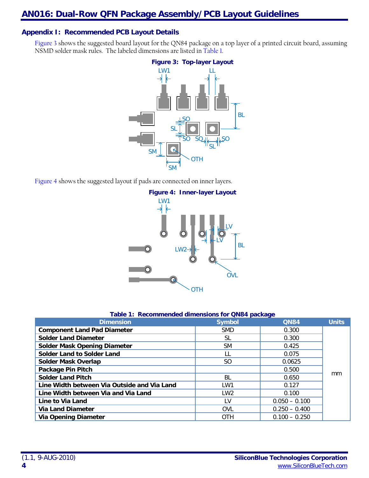# **Appendix I: Recommended PCB Layout Details**

<span id="page-3-0"></span>[Figure 3](#page-3-0) shows the suggested board layout for the QN84 package on a top layer of a printed circuit board, assuming NSMD solder mask rules. The labeled dimensions are listed in [Table 1.](#page-3-1)



<span id="page-3-2"></span>[Figure 4](#page-3-2) shows the suggested layout if pads are connected on inner layers.



|  | Table 1: Recommended dimensions for QN84 package |  |  |  |  |
|--|--------------------------------------------------|--|--|--|--|
|--|--------------------------------------------------|--|--|--|--|

<span id="page-3-1"></span>

| <b>Dimension</b>                            | <b>Symbol</b> | <b>QN84</b>     | <b>Units</b> |
|---------------------------------------------|---------------|-----------------|--------------|
| <b>Component Land Pad Diameter</b>          | <b>SMD</b>    | 0.300           |              |
| <b>Solder Land Diameter</b>                 | SL            | 0.300           |              |
| <b>Solder Mask Opening Diameter</b>         | <b>SM</b>     | 0.425           |              |
| <b>Solder Land to Solder Land</b>           |               | 0.075           |              |
| <b>Solder Mask Overlap</b>                  | SO.           | 0.0625          |              |
| <b>Package Pin Pitch</b>                    |               | 0.500           |              |
| <b>Solder Land Pitch</b>                    | <b>BL</b>     | 0.650           | mm           |
| Line Width between Via Outside and Via Land | LW1           | 0.127           |              |
| Line Width between Via and Via Land         | LW2           | 0.100           |              |
| Line to Via Land                            | ١V            | $0.050 - 0.100$ |              |
| <b>Via Land Diameter</b>                    | <b>OVL</b>    | $0.250 - 0.400$ |              |
| <b>Via Opening Diameter</b>                 | <b>OTH</b>    | $0.100 - 0.250$ |              |